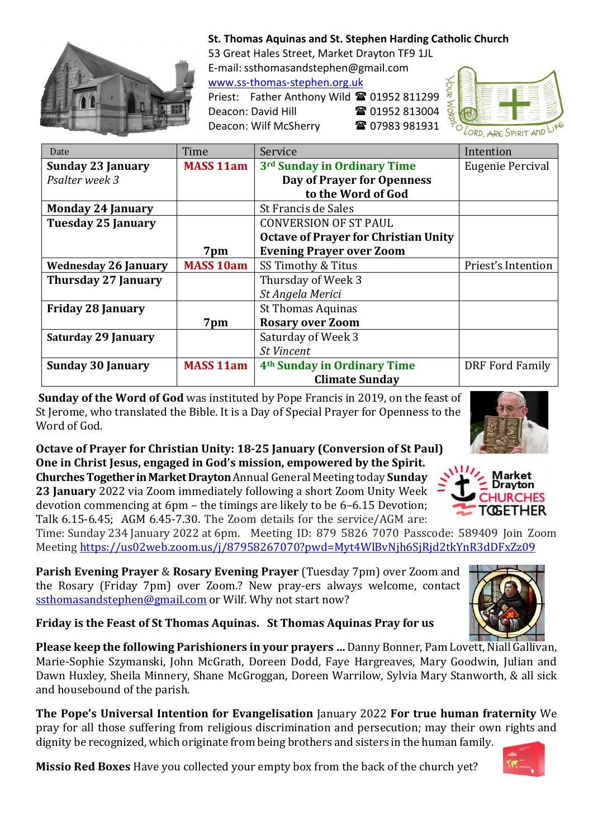

## St. Thomas Aquinas and St. Stephen Harding Catholic Church

53 Great Hales Street, Market Drayton TF9 1JL E-mail: ssthomasandstephen@gmail.com www.ss-thomas-stephen.org.uk

Priest: Father Anthony Wild <sup>2</sup> 01952 811299 Deacon: David Hill **1952 813004** Deacon: Wilf McSherry 2 07983 981931



| Date                        | Time             | Service                                     | Intention          |
|-----------------------------|------------------|---------------------------------------------|--------------------|
| <b>Sunday 23 January</b>    | <b>MASS 11am</b> | 3rd Sunday in Ordinary Time                 | Eugenie Percival   |
| Psalter week 3              |                  | Day of Prayer for Openness                  |                    |
|                             |                  | to the Word of God                          |                    |
| <b>Monday 24 January</b>    |                  | St Francis de Sales                         |                    |
| <b>Tuesday 25 January</b>   |                  | <b>CONVERSION OF ST PAUL</b>                |                    |
|                             |                  | <b>Octave of Prayer for Christian Unity</b> |                    |
|                             | 7pm              | <b>Evening Prayer over Zoom</b>             |                    |
| <b>Wednesday 26 January</b> | <b>MASS 10am</b> | SS Timothy & Titus                          | Priest's Intention |
| <b>Thursday 27 January</b>  |                  | Thursday of Week 3                          |                    |
|                             |                  | St Angela Merici                            |                    |
| <b>Friday 28 January</b>    |                  | <b>St Thomas Aquinas</b>                    |                    |
|                             | 7pm              | <b>Rosary over Zoom</b>                     |                    |
| <b>Saturday 29 January</b>  |                  | Saturday of Week 3                          |                    |
|                             |                  | <b>St Vincent</b>                           |                    |
| <b>Sunday 30 January</b>    | <b>MASS 11am</b> | 4 <sup>th</sup> Sunday in Ordinary Time     | DRF Ford Family    |
|                             |                  | <b>Climate Sunday</b>                       |                    |

Sunday of the Word of God was instituted by Pope Francis in 2019, on the feast of St Jerome, who translated the Bible. It is a Day of Special Prayer for Openness to the Word of God.

Octave of Prayer for Christian Unity: 18-25 January (Conversion of St Paul) One in Christ Jesus, engaged in God's mission, empowered by the Spirit. Churches Together in Market DraytonAnnual General Meeting today Sunday 23 January 2022 via Zoom immediately following a short Zoom Unity Week devotion commencing at 6pm – the timings are likely to be 6–6.15 Devotion; Talk 6.15-6.45; AGM 6.45-7.30. The Zoom details for the service/AGM are:

Time: Sunday 234 January 2022 at 6pm. Meeting ID: 879 5826 7070 Passcode: 589409 Join Zoom Meeting https://us02web.zoom.us/j/87958267070?pwd=Myt4WlBvNjh6SjRjd2tkYnR3dDFxZz09

Parish Evening Prayer & Rosary Evening Prayer (Tuesday 7pm) over Zoom and the Rosary (Friday 7pm) over Zoom.? New pray-ers always welcome, contact ssthomasandstephen@gmail.com or Wilf. Why not start now?

Friday is the Feast of St Thomas Aquinas. St Thomas Aquinas Pray for us

Please keep the following Parishioners in your prayers … Danny Bonner, Pam Lovett, Niall Gallivan, Marie-Sophie Szymanski, John McGrath, Doreen Dodd, Faye Hargreaves, Mary Goodwin, Julian and Dawn Huxley, Sheila Minnery, Shane McGroggan, Doreen Warrilow, Sylvia Mary Stanworth, & all sick and housebound of the parish.

The Pope's Universal Intention for Evangelisation January 2022 For true human fraternity We pray for all those suffering from religious discrimination and persecution; may their own rights and dignity be recognized, which originate from being brothers and sisters in the human family.

Missio Red Boxes Have you collected your empty box from the back of the church yet?